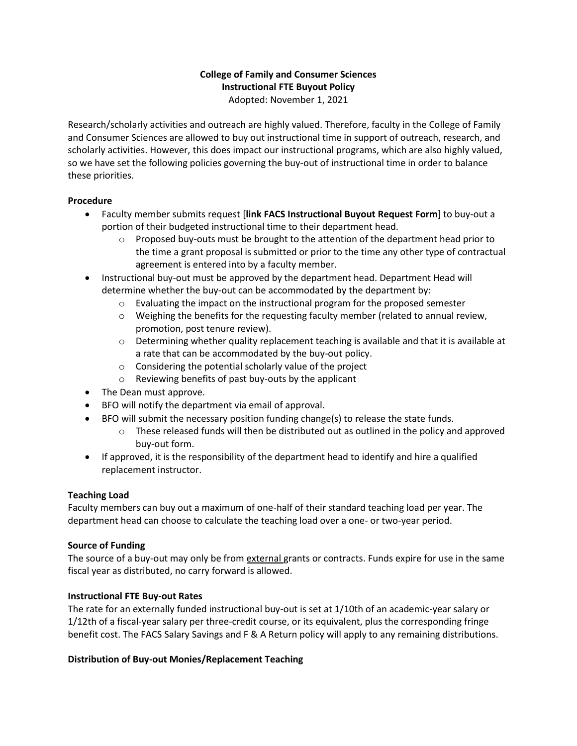# **College of Family and Consumer Sciences Instructional FTE Buyout Policy** Adopted: November 1, 2021

Research/scholarly activities and outreach are highly valued. Therefore, faculty in the College of Family and Consumer Sciences are allowed to buy out instructional time in support of outreach, research, and scholarly activities. However, this does impact our instructional programs, which are also highly valued, so we have set the following policies governing the buy-out of instructional time in order to balance these priorities.

### **Procedure**

- Faculty member submits request [**link FACS Instructional Buyout Request Form**] to buy-out a portion of their budgeted instructional time to their department head.
	- $\circ$  Proposed buy-outs must be brought to the attention of the department head prior to the time a grant proposal is submitted or prior to the time any other type of contractual agreement is entered into by a faculty member.
- Instructional buy-out must be approved by the department head. Department Head will determine whether the buy-out can be accommodated by the department by:
	- $\circ$  Evaluating the impact on the instructional program for the proposed semester
	- $\circ$  Weighing the benefits for the requesting faculty member (related to annual review, promotion, post tenure review).
	- o Determining whether quality replacement teaching is available and that it is available at a rate that can be accommodated by the buy-out policy.
	- o Considering the potential scholarly value of the project
	- o Reviewing benefits of past buy-outs by the applicant
- The Dean must approve.
- BFO will notify the department via email of approval.
- BFO will submit the necessary position funding change(s) to release the state funds.
	- $\circ$  These released funds will then be distributed out as outlined in the policy and approved buy-out form.
- If approved, it is the responsibility of the department head to identify and hire a qualified replacement instructor.

# **Teaching Load**

Faculty members can buy out a maximum of one-half of their standard teaching load per year. The department head can choose to calculate the teaching load over a one- or two-year period.

# **Source of Funding**

The source of a buy-out may only be from external grants or contracts. Funds expire for use in the same fiscal year as distributed, no carry forward is allowed.

# **Instructional FTE Buy-out Rates**

The rate for an externally funded instructional buy-out is set at 1/10th of an academic-year salary or 1/12th of a fiscal-year salary per three-credit course, or its equivalent, plus the corresponding fringe benefit cost. The FACS Salary Savings and F & A Return policy will apply to any remaining distributions.

# **Distribution of Buy-out Monies/Replacement Teaching**